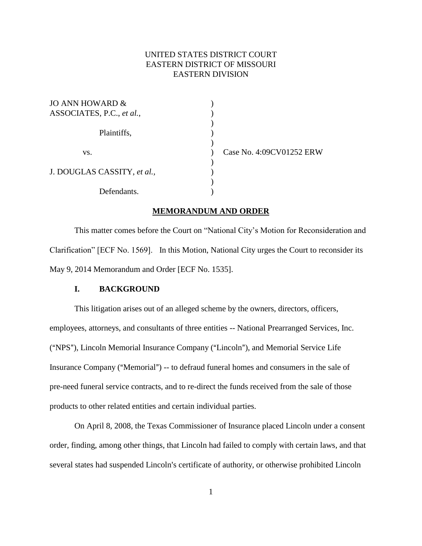# UNITED STATES DISTRICT COURT EASTERN DISTRICT OF MISSOURI EASTERN DIVISION

| JO ANN HOWARD &<br>ASSOCIATES, P.C., et al., |                          |
|----------------------------------------------|--------------------------|
| Plaintiffs,                                  |                          |
|                                              | Case No. 4:09CV01252 ERW |
| VS.                                          |                          |
| J. DOUGLAS CASSITY, et al.,                  |                          |
| Defendants.                                  |                          |

#### **MEMORANDUM AND ORDER**

This matter comes before the Court on "National City"s Motion for Reconsideration and Clarification" [ECF No. 1569]. In this Motion, National City urges the Court to reconsider its May 9, 2014 Memorandum and Order [ECF No. 1535].

## **I. BACKGROUND**

This litigation arises out of an alleged scheme by the owners, directors, officers, employees, attorneys, and consultants of three entities -- National Prearranged Services, Inc. ("NPS"), Lincoln Memorial Insurance Company ("Lincoln"), and Memorial Service Life Insurance Company ("Memorial") -- to defraud funeral homes and consumers in the sale of pre-need funeral service contracts, and to re-direct the funds received from the sale of those products to other related entities and certain individual parties.

On April 8, 2008, the Texas Commissioner of Insurance placed Lincoln under a consent order, finding, among other things, that Lincoln had failed to comply with certain laws, and that several states had suspended Lincoln's certificate of authority, or otherwise prohibited Lincoln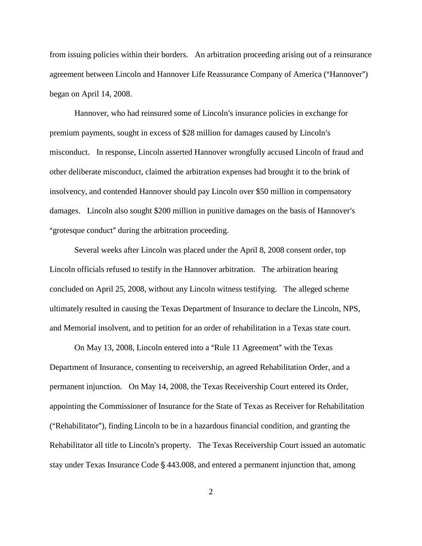from issuing policies within their borders. An arbitration proceeding arising out of a reinsurance agreement between Lincoln and Hannover Life Reassurance Company of America ("Hannover") began on April 14, 2008.

Hannover, who had reinsured some of Lincoln's insurance policies in exchange for premium payments, sought in excess of \$28 million for damages caused by Lincoln's misconduct. In response, Lincoln asserted Hannover wrongfully accused Lincoln of fraud and other deliberate misconduct, claimed the arbitration expenses had brought it to the brink of insolvency, and contended Hannover should pay Lincoln over \$50 million in compensatory damages. Lincoln also sought \$200 million in punitive damages on the basis of Hannover's "grotesque conduct" during the arbitration proceeding.

Several weeks after Lincoln was placed under the April 8, 2008 consent order, top Lincoln officials refused to testify in the Hannover arbitration. The arbitration hearing concluded on April 25, 2008, without any Lincoln witness testifying. The alleged scheme ultimately resulted in causing the Texas Department of Insurance to declare the Lincoln, NPS, and Memorial insolvent, and to petition for an order of rehabilitation in a Texas state court.

On May 13, 2008, Lincoln entered into a "Rule 11 Agreement" with the Texas Department of Insurance, consenting to receivership, an agreed Rehabilitation Order, and a permanent injunction. On May 14, 2008, the Texas Receivership Court entered its Order, appointing the Commissioner of Insurance for the State of Texas as Receiver for Rehabilitation  $("Rehabilitator")$ , finding Lincoln to be in a hazardous financial condition, and granting the Rehabilitator all title to Lincoln's property. The Texas Receivership Court issued an automatic stay under Texas Insurance Code  $\S$  443.008, and entered a permanent injunction that, among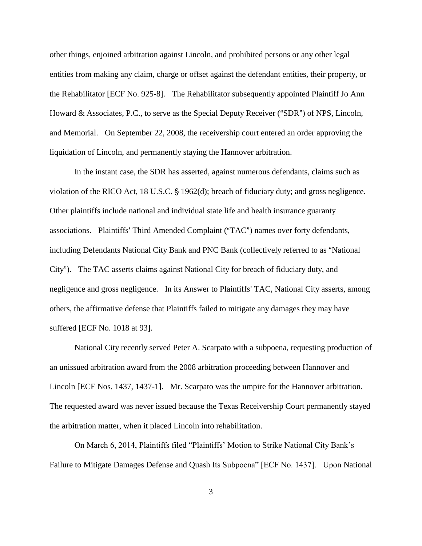other things, enjoined arbitration against Lincoln, and prohibited persons or any other legal entities from making any claim, charge or offset against the defendant entities, their property, or the Rehabilitator [ECF No. 925-8]. The Rehabilitator subsequently appointed Plaintiff Jo Ann Howard & Associates, P.C., to serve as the Special Deputy Receiver ("SDR") of NPS, Lincoln, and Memorial. On September 22, 2008, the receivership court entered an order approving the liquidation of Lincoln, and permanently staying the Hannover arbitration.

In the instant case, the SDR has asserted, against numerous defendants, claims such as violation of the RICO Act, 18 U.S.C.  $\S$  1962(d); breach of fiduciary duty; and gross negligence. Other plaintiffs include national and individual state life and health insurance guaranty associations. Plaintiffs' Third Amended Complaint ("TAC") names over forty defendants, including Defendants National City Bank and PNC Bank (collectively referred to as "National City"). The TAC asserts claims against National City for breach of fiduciary duty, and negligence and gross negligence. In its Answer to Plaintiffs' TAC, National City asserts, among others, the affirmative defense that Plaintiffs failed to mitigate any damages they may have suffered [ECF No. 1018 at 93].

National City recently served Peter A. Scarpato with a subpoena, requesting production of an unissued arbitration award from the 2008 arbitration proceeding between Hannover and Lincoln [ECF Nos. 1437, 1437-1]. Mr. Scarpato was the umpire for the Hannover arbitration. The requested award was never issued because the Texas Receivership Court permanently stayed the arbitration matter, when it placed Lincoln into rehabilitation.

On March 6, 2014, Plaintiffs filed "Plaintiffs" Motion to Strike National City Bank"s Failure to Mitigate Damages Defense and Quash Its Subpoena" [ECF No. 1437]. Upon National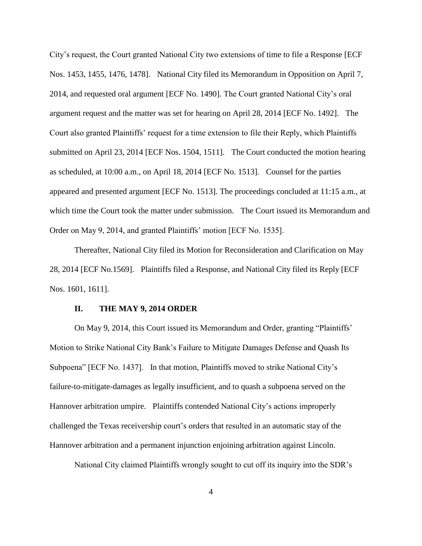City"s request, the Court granted National City two extensions of time to file a Response [ECF Nos. 1453, 1455, 1476, 1478]. National City filed its Memorandum in Opposition on April 7, 2014, and requested oral argument [ECF No. 1490]. The Court granted National City"s oral argument request and the matter was set for hearing on April 28, 2014 [ECF No. 1492]. The Court also granted Plaintiffs" request for a time extension to file their Reply, which Plaintiffs submitted on April 23, 2014 [ECF Nos. 1504, 1511]. The Court conducted the motion hearing as scheduled, at 10:00 a.m., on April 18, 2014 [ECF No. 1513]. Counsel for the parties appeared and presented argument [ECF No. 1513]. The proceedings concluded at 11:15 a.m., at which time the Court took the matter under submission. The Court issued its Memorandum and Order on May 9, 2014, and granted Plaintiffs' motion [ECF No. 1535].

Thereafter, National City filed its Motion for Reconsideration and Clarification on May 28, 2014 [ECF No.1569]. Plaintiffs filed a Response, and National City filed its Reply [ECF Nos. 1601, 1611].

### **II. THE MAY 9, 2014 ORDER**

On May 9, 2014, this Court issued its Memorandum and Order, granting "Plaintiffs" Motion to Strike National City Bank"s Failure to Mitigate Damages Defense and Quash Its Subpoena" [ECF No. 1437]. In that motion, Plaintiffs moved to strike National City"s failure-to-mitigate-damages as legally insufficient, and to quash a subpoena served on the Hannover arbitration umpire. Plaintiffs contended National City"s actions improperly challenged the Texas receivership court's orders that resulted in an automatic stay of the Hannover arbitration and a permanent injunction enjoining arbitration against Lincoln.

National City claimed Plaintiffs wrongly sought to cut off its inquiry into the SDR"s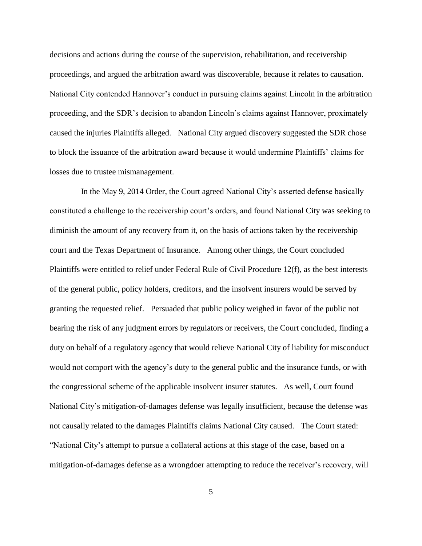decisions and actions during the course of the supervision, rehabilitation, and receivership proceedings, and argued the arbitration award was discoverable, because it relates to causation. National City contended Hannover"s conduct in pursuing claims against Lincoln in the arbitration proceeding, and the SDR"s decision to abandon Lincoln"s claims against Hannover, proximately caused the injuries Plaintiffs alleged. National City argued discovery suggested the SDR chose to block the issuance of the arbitration award because it would undermine Plaintiffs" claims for losses due to trustee mismanagement.

In the May 9, 2014 Order, the Court agreed National City"s asserted defense basically constituted a challenge to the receivership court's orders, and found National City was seeking to diminish the amount of any recovery from it, on the basis of actions taken by the receivership court and the Texas Department of Insurance. Among other things, the Court concluded Plaintiffs were entitled to relief under Federal Rule of Civil Procedure 12(f), as the best interests of the general public, policy holders, creditors, and the insolvent insurers would be served by granting the requested relief. Persuaded that public policy weighed in favor of the public not bearing the risk of any judgment errors by regulators or receivers, the Court concluded, finding a duty on behalf of a regulatory agency that would relieve National City of liability for misconduct would not comport with the agency"s duty to the general public and the insurance funds, or with the congressional scheme of the applicable insolvent insurer statutes. As well, Court found National City"s mitigation-of-damages defense was legally insufficient, because the defense was not causally related to the damages Plaintiffs claims National City caused. The Court stated: "National City"s attempt to pursue a collateral actions at this stage of the case, based on a mitigation-of-damages defense as a wrongdoer attempting to reduce the receiver's recovery, will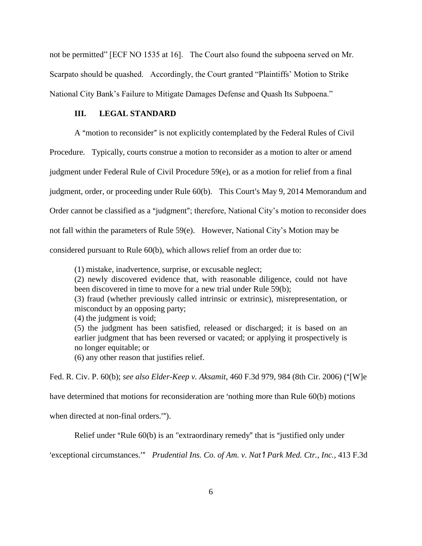not be permitted" [ECF NO 1535 at 16]. The Court also found the subpoena served on Mr. Scarpato should be quashed. Accordingly, the Court granted "Plaintiffs" Motion to Strike National City Bank"s Failure to Mitigate Damages Defense and Quash Its Subpoena."

# **III. LEGAL STANDARD**

A "motion to reconsider" is not explicitly contemplated by the Federal Rules of Civil

Procedure. Typically, courts construe a motion to reconsider as a motion to alter or amend

judgment under Federal Rule of Civil Procedure 59(e), or as a motion for relief from a final

judgment, order, or proceeding under Rule 60(b). This Court's May 9, 2014 Memorandum and

Order cannot be classified as a "judgment"; therefore, National City's motion to reconsider does

not fall within the parameters of Rule 59(e). However, National City"s Motion may be

considered pursuant to Rule 60(b), which allows relief from an order due to:

(1) mistake, inadvertence, surprise, or excusable neglect;

(2) newly discovered evidence that, with reasonable diligence, could not have been discovered in time to move for a new trial under Rule 59(b);

(3) fraud (whether previously called intrinsic or extrinsic), misrepresentation, or misconduct by an opposing party;

(4) the judgment is void;

(5) the judgment has been satisfied, released or discharged; it is based on an earlier judgment that has been reversed or vacated; or applying it prospectively is no longer equitable; or

(6) any other reason that justifies relief.

Fed. R. Civ. P. 60(b); *see also Elder-Keep v. Aksamit*, 460 F.3d 979, 984 (8th Cir. 2006) (A[W]e

have determined that motions for reconsideration are 'nothing more than Rule  $60(b)$  motions

when directed at non-final orders.".

Relief under "Rule  $60(b)$  is an "extraordinary remedy" that is "justified only under

'exceptional circumstances.'" Prudential Ins. Co. of Am. v. Nat<sup>*1*</sup> Park Med. Ctr., Inc., 413 F.3d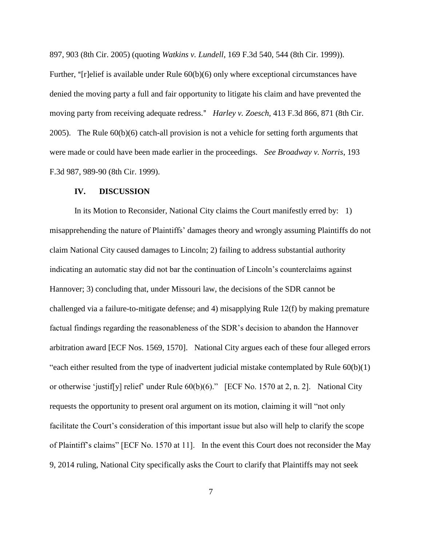897, 903 (8th Cir. 2005) (quoting *Watkins v. Lundell*, 169 F.3d 540, 544 (8th Cir. 1999)).

Further, "[r]elief is available under Rule  $60(b)(6)$  only where exceptional circumstances have denied the moving party a full and fair opportunity to litigate his claim and have prevented the moving party from receiving adequate redress." *Harley v. Zoesch*, 413 F.3d 866, 871 (8th Cir. 2005). The Rule 60(b)(6) catch-all provision is not a vehicle for setting forth arguments that were made or could have been made earlier in the proceedings. *See Broadway v. Norris*, 193 F.3d 987, 989-90 (8th Cir. 1999).

#### **IV. DISCUSSION**

In its Motion to Reconsider, National City claims the Court manifestly erred by: 1) misapprehending the nature of Plaintiffs" damages theory and wrongly assuming Plaintiffs do not claim National City caused damages to Lincoln; 2) failing to address substantial authority indicating an automatic stay did not bar the continuation of Lincoln"s counterclaims against Hannover; 3) concluding that, under Missouri law, the decisions of the SDR cannot be challenged via a failure-to-mitigate defense; and 4) misapplying Rule 12(f) by making premature factual findings regarding the reasonableness of the SDR"s decision to abandon the Hannover arbitration award [ECF Nos. 1569, 1570]. National City argues each of these four alleged errors "each either resulted from the type of inadvertent judicial mistake contemplated by Rule 60(b)(1) or otherwise "justif[y] relief" under Rule 60(b)(6)." [ECF No. 1570 at 2, n. 2]. National City requests the opportunity to present oral argument on its motion, claiming it will "not only facilitate the Court's consideration of this important issue but also will help to clarify the scope of Plaintiff"s claims" [ECF No. 1570 at 11]. In the event this Court does not reconsider the May 9, 2014 ruling, National City specifically asks the Court to clarify that Plaintiffs may not seek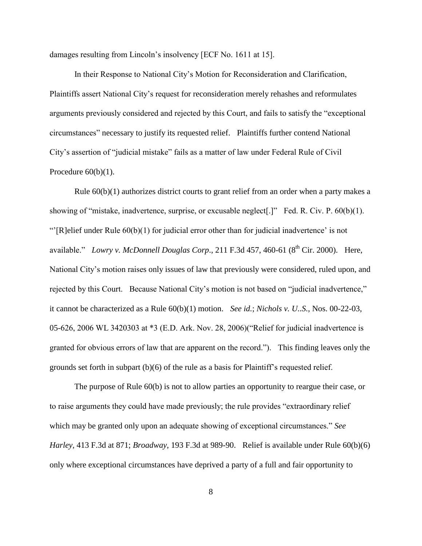damages resulting from Lincoln"s insolvency [ECF No. 1611 at 15].

In their Response to National City"s Motion for Reconsideration and Clarification, Plaintiffs assert National City"s request for reconsideration merely rehashes and reformulates arguments previously considered and rejected by this Court, and fails to satisfy the "exceptional circumstances" necessary to justify its requested relief. Plaintiffs further contend National City"s assertion of "judicial mistake" fails as a matter of law under Federal Rule of Civil Procedure  $60(b)(1)$ .

Rule 60(b)(1) authorizes district courts to grant relief from an order when a party makes a showing of "mistake, inadvertence, surprise, or excusable neglect[.]" Fed. R. Civ. P. 60(b)(1). ""[R]elief under Rule  $60(b)(1)$  for judicial error other than for judicial inadvertence' is not available." *Lowry v. McDonnell Douglas Corp.*, 211 F.3d 457, 460-61 (8<sup>th</sup> Cir. 2000). Here, National City"s motion raises only issues of law that previously were considered, ruled upon, and rejected by this Court. Because National City's motion is not based on "judicial inadvertence," it cannot be characterized as a Rule 60(b)(1) motion. *See id.*; *Nichols v. U..S.*, Nos. 00-22-03, 05-626, 2006 WL 3420303 at \*3 (E.D. Ark. Nov. 28, 2006)("Relief for judicial inadvertence is granted for obvious errors of law that are apparent on the record."). This finding leaves only the grounds set forth in subpart (b)(6) of the rule as a basis for Plaintiff"s requested relief.

The purpose of Rule 60(b) is not to allow parties an opportunity to reargue their case, or to raise arguments they could have made previously; the rule provides "extraordinary relief which may be granted only upon an adequate showing of exceptional circumstances." *See Harley*, 413 F.3d at 871; *Broadway*, 193 F.3d at 989-90. Relief is available under Rule 60(b)(6) only where exceptional circumstances have deprived a party of a full and fair opportunity to